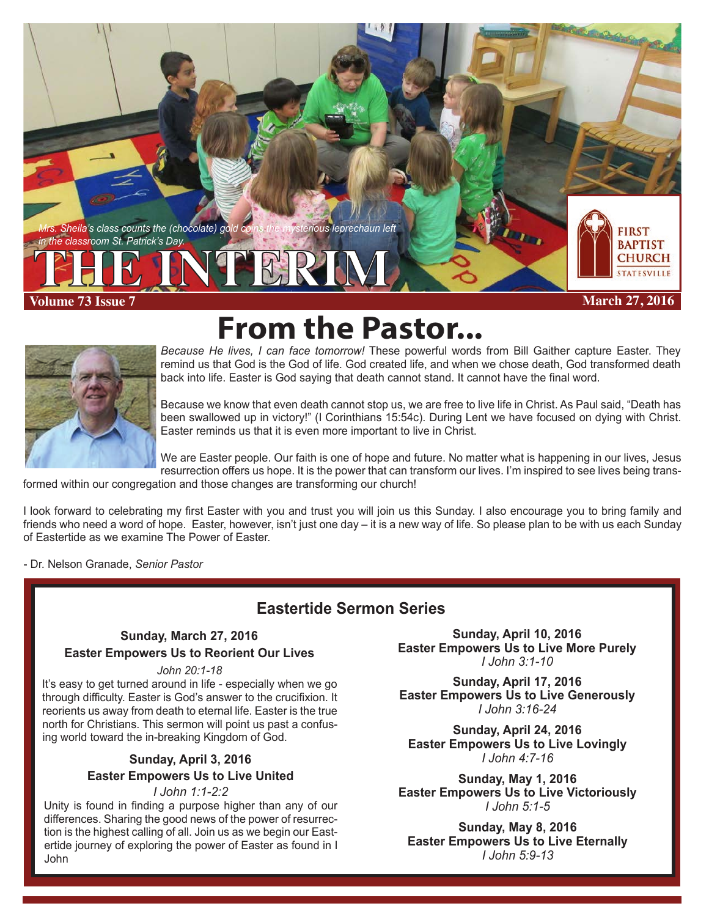**Sheila's class counts the (chocolate) gold coins the mysterious leprechaun left** *in the classroom St. Patrick's Day.*

**Volume 73 Issue 7 THE INTERIM**

**March 27, 2016**

**FIRST BAPTIST CHURCH TATESVILLE** 



**From the Pastor...** 

*Because He lives, I can face tomorrow!* These powerful words from Bill Gaither capture Easter. They remind us that God is the God of life. God created life, and when we chose death, God transformed death back into life. Easter is God saying that death cannot stand. It cannot have the final word.

Because we know that even death cannot stop us, we are free to live life in Christ. As Paul said, "Death has been swallowed up in victory!" (I Corinthians 15:54c). During Lent we have focused on dying with Christ. Easter reminds us that it is even more important to live in Christ.

We are Easter people. Our faith is one of hope and future. No matter what is happening in our lives, Jesus resurrection offers us hope. It is the power that can transform our lives. I'm inspired to see lives being trans-

formed within our congregation and those changes are transforming our church!

I look forward to celebrating my first Easter with you and trust you will join us this Sunday. I also encourage you to bring family and friends who need a word of hope. Easter, however, isn't just one day – it is a new way of life. So please plan to be with us each Sunday of Eastertide as we examine The Power of Easter.

- Dr. Nelson Granade, *Senior Pastor*

### **Eastertide Sermon Series**

#### **Sunday, March 27, 2016 Easter Empowers Us to Reorient Our Lives**

#### *John 20:1-18*

It's easy to get turned around in life - especially when we go through difficulty. Easter is God's answer to the crucifixion. It reorients us away from death to eternal life. Easter is the true north for Christians. This sermon will point us past a confusing world toward the in-breaking Kingdom of God.

### **Sunday, April 3, 2016 Easter Empowers Us to Live United**

#### *I John 1:1-2:2*

Unity is found in finding a purpose higher than any of our differences. Sharing the good news of the power of resurrection is the highest calling of all. Join us as we begin our Eastertide journey of exploring the power of Easter as found in I John

**Sunday, April 10, 2016 Easter Empowers Us to Live More Purely** *I John 3:1-10*

**Sunday, April 17, 2016 Easter Empowers Us to Live Generously** *I John 3:16-24*

**Sunday, April 24, 2016 Easter Empowers Us to Live Lovingly** *I John 4:7-16*

**Sunday, May 1, 2016 Easter Empowers Us to Live Victoriously** *I John 5:1-5*

**Sunday, May 8, 2016 Easter Empowers Us to Live Eternally** *I John 5:9-13*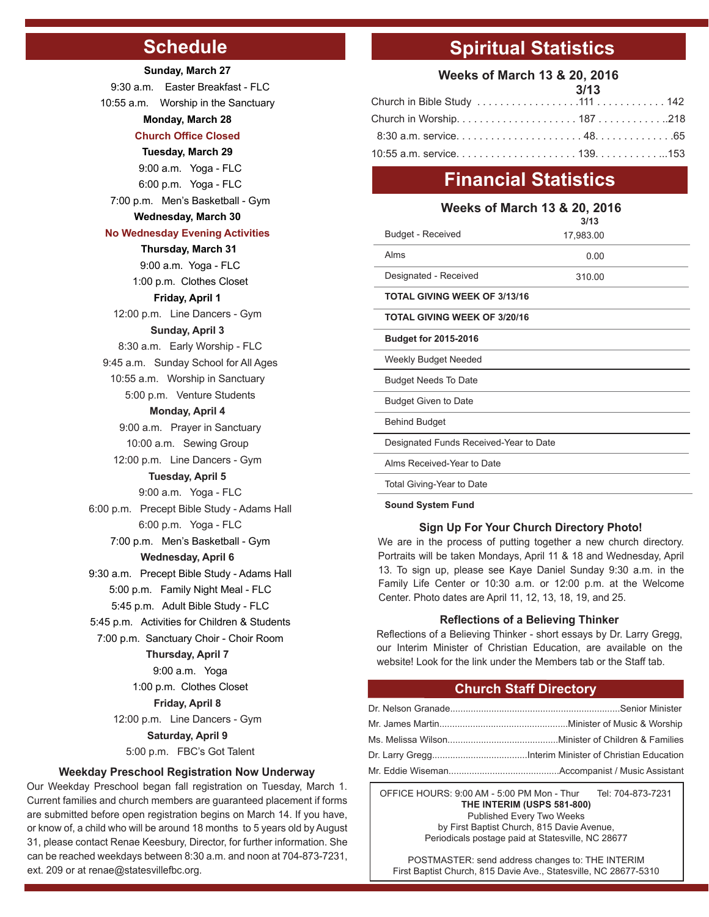## **Schedule**

#### **Sunday, March 27**

 9:30 a.m. Easter Breakfast - FLC 10:55 a.m. Worship in the Sanctuary **Monday, March 28 Church Office Closed Tuesday, March 29** 9:00 a.m. Yoga - FLC 6:00 p.m. Yoga - FLC 7:00 p.m. Men's Basketball - Gym **Wednesday, March 30 No Wednesday Evening Activities Thursday, March 31** 9:00 a.m. Yoga - FLC 1:00 p.m. Clothes Closet **Friday, April 1** 12:00 p.m. Line Dancers - Gym **Sunday, April 3** 8:30 a.m. Early Worship - FLC 9:45 a.m. Sunday School for All Ages 10:55 a.m. Worship in Sanctuary 5:00 p.m. Venture Students **Monday, April 4** 9:00 a.m. Prayer in Sanctuary 10:00 a.m. Sewing Group 12:00 p.m. Line Dancers - Gym **Tuesday, April 5** 9:00 a.m. Yoga - FLC 6:00 p.m. Precept Bible Study - Adams Hall 6:00 p.m. Yoga - FLC 7:00 p.m. Men's Basketball - Gym **Wednesday, April 6** 9:30 a.m. Precept Bible Study - Adams Hall 5:00 p.m. Family Night Meal - FLC 5:45 p.m. Adult Bible Study - FLC 5:45 p.m. Activities for Children & Students 7:00 p.m. Sanctuary Choir - Choir Room **Thursday, April 7** 9:00 a.m. Yoga 1:00 p.m. Clothes Closet **Friday, April 8** 12:00 p.m. Line Dancers - Gym **Saturday, April 9** 5:00 p.m. FBC's Got Talent

#### **Weekday Preschool Registration Now Underway**

Our Weekday Preschool began fall registration on Tuesday, March 1. Current families and church members are guaranteed placement if forms are submitted before open registration begins on March 14. If you have, or know of, a child who will be around 18 months to 5 years old by August 31, please contact Renae Keesbury, Director, for further information. She can be reached weekdays between 8:30 a.m. and noon at 704-873-7231, ext. 209 or at renae@statesvillefbc.org.

## **Spiritual Statistics**

#### **Weeks of March 13 & 20, 2016**

| 3/13 |  |
|------|--|
|      |  |
|      |  |
|      |  |
|      |  |

## **Financial Statistics**

#### **Weeks of March 13 & 20, 2016**

|                                        | 3/13      |  |
|----------------------------------------|-----------|--|
| <b>Budget - Received</b>               | 17,983.00 |  |
| Alms                                   | 0.00      |  |
| Designated - Received                  | 310.00    |  |
| <b>TOTAL GIVING WEEK OF 3/13/16</b>    |           |  |
| <b>TOTAL GIVING WEEK OF 3/20/16</b>    |           |  |
| <b>Budget for 2015-2016</b>            |           |  |
| Weekly Budget Needed                   |           |  |
| <b>Budget Needs To Date</b>            |           |  |
| <b>Budget Given to Date</b>            |           |  |
| <b>Behind Budget</b>                   |           |  |
| Designated Funds Received-Year to Date |           |  |
| Alms Received-Year to Date             |           |  |
| Total Giving-Year to Date              |           |  |

**Sound System Fund**

#### **Sign Up For Your Church Directory Photo!**

We are in the process of putting together a new church directory. Portraits will be taken Mondays, April 11 & 18 and Wednesday, April 13. To sign up, please see Kaye Daniel Sunday 9:30 a.m. in the Family Life Center or 10:30 a.m. or 12:00 p.m. at the Welcome Center. Photo dates are April 11, 12, 13, 18, 19, and 25.

#### **Reflections of a Believing Thinker**

Reflections of a Believing Thinker - short essays by Dr. Larry Gregg, our Interim Minister of Christian Education, are available on the website! Look for the link under the Members tab or the Staff tab.

#### **Church Staff Directory**

OFFICE HOURS: 9:00 AM - 5:00 PM Mon - Thur Tel: 704-873-7231 **THE INTERIM (USPS 581-800)** Published Every Two Weeks by First Baptist Church, 815 Davie Avenue,

Periodicals postage paid at Statesville, NC 28677

POSTMASTER: send address changes to: THE INTERIM First Baptist Church, 815 Davie Ave., Statesville, NC 28677-5310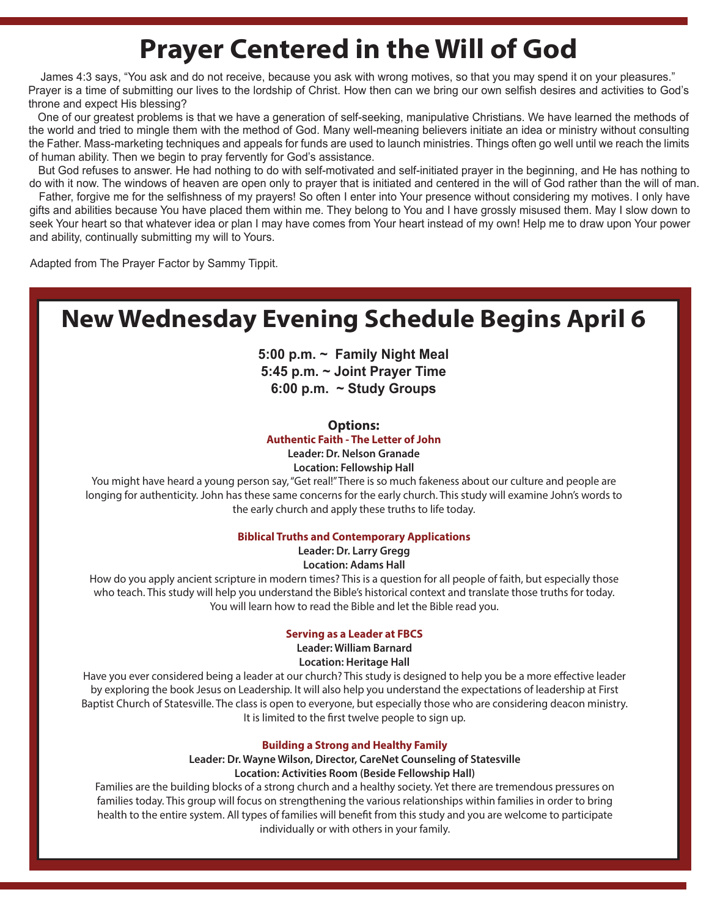## **Prayer Centered in the Will of God**

 James 4:3 says, "You ask and do not receive, because you ask with wrong motives, so that you may spend it on your pleasures." Prayer is a time of submitting our lives to the lordship of Christ. How then can we bring our own selfish desires and activities to God's throne and expect His blessing?

 One of our greatest problems is that we have a generation of self-seeking, manipulative Christians. We have learned the methods of the world and tried to mingle them with the method of God. Many well-meaning believers initiate an idea or ministry without consulting the Father. Mass-marketing techniques and appeals for funds are used to launch ministries. Things often go well until we reach the limits of human ability. Then we begin to pray fervently for God's assistance.

 But God refuses to answer. He had nothing to do with self-motivated and self-initiated prayer in the beginning, and He has nothing to do with it now. The windows of heaven are open only to prayer that is initiated and centered in the will of God rather than the will of man.

 Father, forgive me for the selfishness of my prayers! So often I enter into Your presence without considering my motives. I only have gifts and abilities because You have placed them within me. They belong to You and I have grossly misused them. May I slow down to seek Your heart so that whatever idea or plan I may have comes from Your heart instead of my own! Help me to draw upon Your power and ability, continually submitting my will to Yours.

Adapted from The Prayer Factor by Sammy Tippit.

## **New Wednesday Evening Schedule Begins April 6**

**5:00 p.m. ~ Family Night Meal 5:45 p.m. ~ Joint Prayer Time 6:00 p.m. ~ Study Groups**

#### **Options:**

**Authentic Faith - The Letter of John**

**Leader: Dr. Nelson Granade**

**Location: Fellowship Hall**

You might have heard a young person say, "Get real!" There is so much fakeness about our culture and people are longing for authenticity. John has these same concerns for the early church. This study will examine John's words to the early church and apply these truths to life today.

#### **Biblical Truths and Contemporary Applications**

**Leader: Dr. Larry Gregg**

**Location: Adams Hall**

How do you apply ancient scripture in modern times? This is a question for all people of faith, but especially those who teach. This study will help you understand the Bible's historical context and translate those truths for today. You will learn how to read the Bible and let the Bible read you.

#### **Serving as a Leader at FBCS**

**Leader: William Barnard Location: Heritage Hall**

Have you ever considered being a leader at our church? This study is designed to help you be a more effective leader by exploring the book Jesus on Leadership. It will also help you understand the expectations of leadership at First Baptist Church of Statesville. The class is open to everyone, but especially those who are considering deacon ministry. It is limited to the first twelve people to sign up.

#### **Building a Strong and Healthy Family**

**Leader: Dr. Wayne Wilson, Director, CareNet Counseling of Statesville Location: Activities Room (Beside Fellowship Hall)**

Families are the building blocks of a strong church and a healthy society. Yet there are tremendous pressures on families today. This group will focus on strengthening the various relationships within families in order to bring health to the entire system. All types of families will benefit from this study and you are welcome to participate individually or with others in your family.